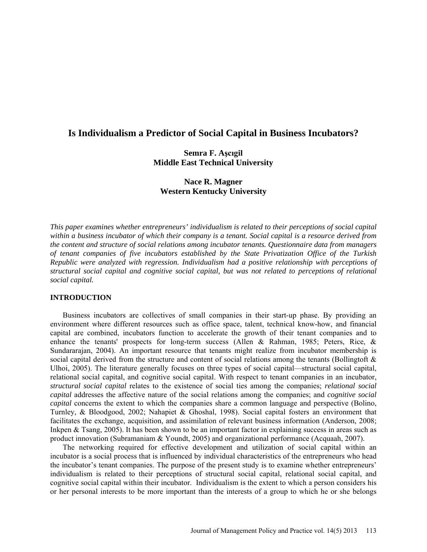# **Is Individualism a Predictor of Social Capital in Business Incubators?**

## **Semra F. Aşcıgil Middle East Technical University**

# **Nace R. Magner Western Kentucky University**

*This paper examines whether entrepreneurs' individualism is related to their perceptions of social capital within a business incubator of which their company is a tenant. Social capital is a resource derived from the content and structure of social relations among incubator tenants. Questionnaire data from managers of tenant companies of five incubators established by the State Privatization Office of the Turkish Republic were analyzed with regression. Individualism had a positive relationship with perceptions of structural social capital and cognitive social capital, but was not related to perceptions of relational social capital.*

## **INTRODUCTION**

Business incubators are collectives of small companies in their start-up phase. By providing an environment where different resources such as office space, talent, technical know-how, and financial capital are combined, incubators function to accelerate the growth of their tenant companies and to enhance the tenants' prospects for long-term success (Allen & Rahman, 1985; Peters, Rice, & Sundararajan, 2004). An important resource that tenants might realize from incubator membership is social capital derived from the structure and content of social relations among the tenants (Bollingtoft  $\&$ Ulhoi, 2005). The literature generally focuses on three types of social capital—structural social capital, relational social capital, and cognitive social capital. With respect to tenant companies in an incubator, *structural social capital* relates to the existence of social ties among the companies; *relational social capital* addresses the affective nature of the social relations among the companies; and *cognitive social capital* concerns the extent to which the companies share a common language and perspective (Bolino, Turnley, & Bloodgood, 2002; Nahapiet & Ghoshal, 1998). Social capital fosters an environment that facilitates the exchange, acquisition, and assimilation of relevant business information (Anderson, 2008; Inkpen & Tsang, 2005). It has been shown to be an important factor in explaining success in areas such as product innovation (Subramaniam & Youndt, 2005) and organizational performance (Acquaah, 2007).

The networking required for effective development and utilization of social capital within an incubator is a social process that is influenced by individual characteristics of the entrepreneurs who head the incubator's tenant companies. The purpose of the present study is to examine whether entrepreneurs' individualism is related to their perceptions of structural social capital, relational social capital, and cognitive social capital within their incubator. Individualism is the extent to which a person considers his or her personal interests to be more important than the interests of a group to which he or she belongs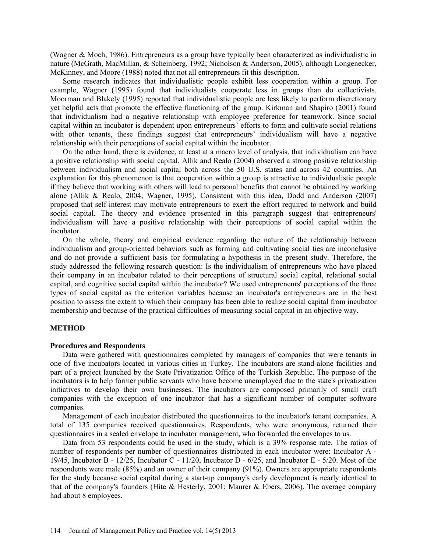(Wagner & Moch, 1986). Entrepreneurs as a group have typically been characterized as individualistic in nature (McGrath, MacMillan, & Scheinberg, 1992; Nicholson & Anderson, 2005), although Longenecker, McKinney, and Moore (1988) noted that not all entrepreneurs fit this description.

Some research indicates that individualistic people exhibit less cooperation within a group. For example, Wagner (1995) found that individualists cooperate less in groups than do collectivists. Moorman and Blakely (1995) reported that individualistic people are less likely to perform discretionary yet helpful acts that promote the effective functioning of the group. Kirkman and Shapiro (2001) found that individualism had a negative relationship with employee preference for teamwork. Since social capital within an incubator is dependent upon entrepreneurs' efforts to form and cultivate social relations with other tenants, these findings suggest that entrepreneurs' individualism will have a negative relationship with their perceptions of social capital within the incubator.

On the other hand, there is evidence, at least at a macro level of analysis, that individualism can have a positive relationship with social capital. Allik and Realo (2004) observed a strong positive relationship between individualism and social capital both across the 50 U.S. states and across 42 countries. An explanation for this phenomenon is that cooperation within a group is attractive to individualistic people if they believe that working with others will lead to personal benefits that cannot be obtained by working alone (Allik & Realo, 2004; Wagner, 1995). Consistent with this idea, Dodd and Anderson (2007) proposed that self-interest may motivate entrepreneurs to exert the effort required to network and build social capital. The theory and evidence presented in this paragraph suggest that entrepreneurs' individualism will have a positive relationship with their perceptions of social capital within the incubator.

On the whole, theory and empirical evidence regarding the nature of the relationship between individualism and group-oriented behaviors such as forming and cultivating social ties are inconclusive and do not provide a sufficient basis for formulating a hypothesis in the present study. Therefore, the study addressed the following research question: Is the individualism of entrepreneurs who have placed their company in an incubator related to their perceptions of structural social capital, relational social capital, and cognitive social capital within the incubator? We used entrepreneurs' perceptions of the three types of social capital as the criterion variables because an incubator's entrepreneurs are in the best position to assess the extent to which their company has been able to realize social capital from incubator membership and because of the practical difficulties of measuring social capital in an objective way.

## **METHOD**

## **Procedures and Respondents**

Data were gathered with questionnaires completed by managers of companies that were tenants in one of five incubators located in various cities in Turkey. The incubators are stand-alone facilities and part of a project launched by the State Privatization Office of the Turkish Republic. The purpose of the incubators is to help former public servants who have become unemployed due to the state's privatization initiatives to develop their own businesses. The incubators are composed primarily of small craft companies with the exception of one incubator that has a significant number of computer software companies.

Management of each incubator distributed the questionnaires to the incubator's tenant companies. A total of 135 companies received questionnaires. Respondents, who were anonymous, returned their questionnaires in a sealed envelope to incubator management, who forwarded the envelopes to us.

Data from 53 respondents could be used in the study, which is a 39% response rate. The ratios of number of respondents per number of questionnaires distributed in each incubator were: Incubator A - 19/45, Incubator B - 12/25, Incubator C - 11/20, Incubator D - 6/25, and Incubator E - 5/20. Most of the respondents were male (85%) and an owner of their company (91%). Owners are appropriate respondents for the study because social capital during a start-up company's early development is nearly identical to that of the company's founders (Hite & Hesterly, 2001; Maurer & Ebers, 2006). The average company had about 8 employees.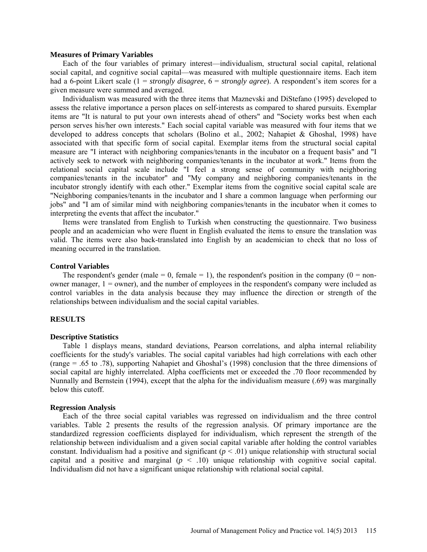#### **Measures of Primary Variables**

Each of the four variables of primary interest—individualism, structural social capital, relational social capital, and cognitive social capital—was measured with multiple questionnaire items. Each item had a 6-point Likert scale (1 = *strongly disagree*, 6 = *strongly agree*). A respondent's item scores for a given measure were summed and averaged.

Individualism was measured with the three items that Maznevski and DiStefano (1995) developed to assess the relative importance a person places on self-interests as compared to shared pursuits. Exemplar items are "It is natural to put your own interests ahead of others" and "Society works best when each person serves his/her own interests." Each social capital variable was measured with four items that we developed to address concepts that scholars (Bolino et al., 2002; Nahapiet & Ghoshal, 1998) have associated with that specific form of social capital. Exemplar items from the structural social capital measure are "I interact with neighboring companies/tenants in the incubator on a frequent basis" and "I actively seek to network with neighboring companies/tenants in the incubator at work." Items from the relational social capital scale include "I feel a strong sense of community with neighboring companies/tenants in the incubator" and "My company and neighboring companies/tenants in the incubator strongly identify with each other." Exemplar items from the cognitive social capital scale are "Neighboring companies/tenants in the incubator and I share a common language when performing our jobs" and "I am of similar mind with neighboring companies/tenants in the incubator when it comes to interpreting the events that affect the incubator."

Items were translated from English to Turkish when constructing the questionnaire. Two business people and an academician who were fluent in English evaluated the items to ensure the translation was valid. The items were also back-translated into English by an academician to check that no loss of meaning occurred in the translation.

#### **Control Variables**

The respondent's gender (male  $= 0$ , female  $= 1$ ), the respondent's position in the company (0  $=$  nonowner manager,  $1 =$  owner), and the number of employees in the respondent's company were included as control variables in the data analysis because they may influence the direction or strength of the relationships between individualism and the social capital variables.

#### **RESULTS**

#### **Descriptive Statistics**

Table 1 displays means, standard deviations, Pearson correlations, and alpha internal reliability coefficients for the study's variables. The social capital variables had high correlations with each other (range = .65 to .78), supporting Nahapiet and Ghoshal's (1998) conclusion that the three dimensions of social capital are highly interrelated. Alpha coefficients met or exceeded the .70 floor recommended by Nunnally and Bernstein (1994), except that the alpha for the individualism measure (.69) was marginally below this cutoff.

#### **Regression Analysis**

Each of the three social capital variables was regressed on individualism and the three control variables. Table 2 presents the results of the regression analysis. Of primary importance are the standardized regression coefficients displayed for individualism, which represent the strength of the relationship between individualism and a given social capital variable after holding the control variables constant. Individualism had a positive and significant  $(p < .01)$  unique relationship with structural social capital and a positive and marginal  $(p < .10)$  unique relationship with cognitive social capital. Individualism did not have a significant unique relationship with relational social capital.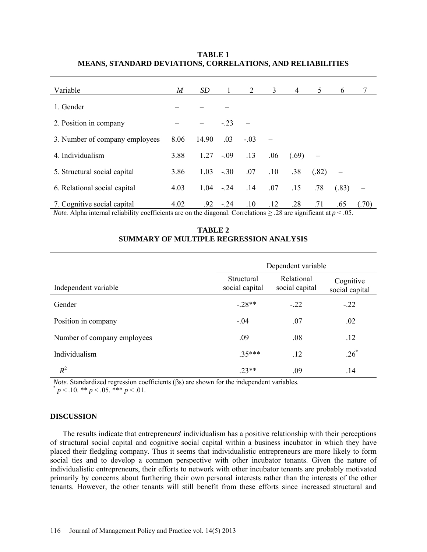## **TABLE 1 MEANS, STANDARD DEVIATIONS, CORRELATIONS, AND RELIABILITIES**

| Variable                                                                                                        | M    | SD                          | 1               | 2                   | 3                 | 4     | 5                     | 6                           |        |
|-----------------------------------------------------------------------------------------------------------------|------|-----------------------------|-----------------|---------------------|-------------------|-------|-----------------------|-----------------------------|--------|
| 1. Gender                                                                                                       |      |                             |                 |                     |                   |       |                       |                             |        |
| 2. Position in company                                                                                          |      |                             | $-.23$          |                     |                   |       |                       |                             |        |
| 3. Number of company employees                                                                                  | 8.06 | 14.90                       | .03             | $-.03$              |                   |       |                       |                             |        |
| 4. Individualism                                                                                                | 3.88 | 1.27                        | $-.09$          | .13                 | .06               | (.69) |                       |                             |        |
| 5. Structural social capital                                                                                    | 3.86 | 1.03                        | $-.30$          | .07                 | .10               | .38   | (.82)                 |                             |        |
| 6. Relational social capital                                                                                    | 4.03 | 1.04                        | $-.24$          | .14                 | .07               | .15   | .78                   | (.83)                       |        |
| 7. Cognitive social capital<br>$\sim$ $\sim$<br>$\mathbf{v}$ . All $\mathbf{v}$ . It is the set of $\mathbf{v}$ | 4.02 | .92<br>$\cdot$ 1<br>$\cdot$ | $-24$<br>$\sim$ | .10<br>$\mathbf{1}$ | .12<br>$\sim$ 0.0 | .28   | .71<br>$\cdot$ $\sim$ | .65<br>$\sim$ $\sim$ $\sim$ | (0.70) |

*Note.* Alpha internal reliability coefficients are on the diagonal. Correlations  $\geq 28$  are significant at  $p < 0.05$ .

|                             | Dependent variable           |                              |                             |  |  |  |  |
|-----------------------------|------------------------------|------------------------------|-----------------------------|--|--|--|--|
| Independent variable        | Structural<br>social capital | Relational<br>social capital | Cognitive<br>social capital |  |  |  |  |
| Gender                      | $-.28**$                     | $-22$                        | $-.22$                      |  |  |  |  |
| Position in company         | $-.04$                       | .07                          | .02                         |  |  |  |  |
| Number of company employees | .09                          | .08                          | .12                         |  |  |  |  |

Individualism  $.35***$  .12 .26<sup>\*</sup>

 $R^2$  .23\*\* .09 .14

**TABLE 2 SUMMARY OF MULTIPLE REGRESSION ANALYSIS**

*Note.* Standardized regression coefficients (βs) are shown for the independent variables.  $p < .10$ . \*\* *p* < .05. \*\*\* *p* < .01.

## **DISCUSSION**

The results indicate that entrepreneurs' individualism has a positive relationship with their perceptions of structural social capital and cognitive social capital within a business incubator in which they have placed their fledgling company. Thus it seems that individualistic entrepreneurs are more likely to form social ties and to develop a common perspective with other incubator tenants. Given the nature of individualistic entrepreneurs, their efforts to network with other incubator tenants are probably motivated primarily by concerns about furthering their own personal interests rather than the interests of the other tenants. However, the other tenants will still benefit from these efforts since increased structural and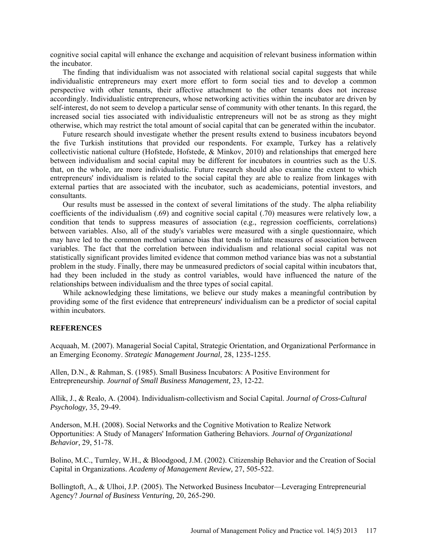cognitive social capital will enhance the exchange and acquisition of relevant business information within the incubator.

The finding that individualism was not associated with relational social capital suggests that while individualistic entrepreneurs may exert more effort to form social ties and to develop a common perspective with other tenants, their affective attachment to the other tenants does not increase accordingly. Individualistic entrepreneurs, whose networking activities within the incubator are driven by self-interest, do not seem to develop a particular sense of community with other tenants. In this regard, the increased social ties associated with individualistic entrepreneurs will not be as strong as they might otherwise, which may restrict the total amount of social capital that can be generated within the incubator.

Future research should investigate whether the present results extend to business incubators beyond the five Turkish institutions that provided our respondents. For example, Turkey has a relatively collectivistic national culture (Hofstede, Hofstede, & Minkov, 2010) and relationships that emerged here between individualism and social capital may be different for incubators in countries such as the U.S. that, on the whole, are more individualistic. Future research should also examine the extent to which entrepreneurs' individualism is related to the social capital they are able to realize from linkages with external parties that are associated with the incubator, such as academicians, potential investors, and consultants.

Our results must be assessed in the context of several limitations of the study. The alpha reliability coefficients of the individualism (.69) and cognitive social capital (.70) measures were relatively low, a condition that tends to suppress measures of association (e.g., regression coefficients, correlations) between variables. Also, all of the study's variables were measured with a single questionnaire, which may have led to the common method variance bias that tends to inflate measures of association between variables. The fact that the correlation between individualism and relational social capital was not statistically significant provides limited evidence that common method variance bias was not a substantial problem in the study. Finally, there may be unmeasured predictors of social capital within incubators that, had they been included in the study as control variables, would have influenced the nature of the relationships between individualism and the three types of social capital.

While acknowledging these limitations, we believe our study makes a meaningful contribution by providing some of the first evidence that entrepreneurs' individualism can be a predictor of social capital within incubators.

### **REFERENCES**

Acquaah, M. (2007). Managerial Social Capital, Strategic Orientation, and Organizational Performance in an Emerging Economy. *Strategic Management Journal,* 28, 1235-1255.

Allen, D.N., & Rahman, S. (1985). Small Business Incubators: A Positive Environment for Entrepreneurship. *Journal of Small Business Management,* 23, 12-22.

Allik, J., & Realo, A. (2004). Individualism-collectivism and Social Capital. *Journal of Cross-Cultural Psychology,* 35, 29-49.

Anderson, M.H. (2008). Social Networks and the Cognitive Motivation to Realize Network Opportunities: A Study of Managers' Information Gathering Behaviors. *Journal of Organizational Behavior,* 29, 51-78.

Bolino, M.C., Turnley, W.H., & Bloodgood, J.M. (2002). Citizenship Behavior and the Creation of Social Capital in Organizations. *Academy of Management Review,* 27, 505-522.

Bollingtoft, A., & Ulhoi, J.P. (2005). The Networked Business Incubator—Leveraging Entrepreneurial Agency? *Journal of Business Venturing,* 20, 265-290.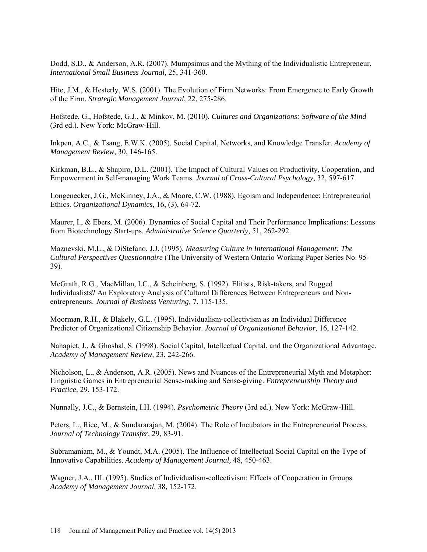Dodd, S.D., & Anderson, A.R. (2007). Mumpsimus and the Mything of the Individualistic Entrepreneur. *International Small Business Journal,* 25, 341-360.

Hite, J.M., & Hesterly, W.S. (2001). The Evolution of Firm Networks: From Emergence to Early Growth of the Firm. *Strategic Management Journal,* 22, 275-286.

Hofstede, G., Hofstede, G.J., & Minkov, M. (2010). *Cultures and Organizations: Software of the Mind*  (3rd ed.). New York: McGraw-Hill.

Inkpen, A.C., & Tsang, E.W.K. (2005). Social Capital, Networks, and Knowledge Transfer. *Academy of Management Review,* 30, 146-165.

Kirkman, B.L., & Shapiro, D.L. (2001). The Impact of Cultural Values on Productivity, Cooperation, and Empowerment in Self-managing Work Teams. *Journal of Cross-Cultural Psychology,* 32, 597-617.

Longenecker, J.G., McKinney, J.A., & Moore, C.W. (1988). Egoism and Independence: Entrepreneurial Ethics. *Organizational Dynamics,* 16, (3), 64-72.

Maurer, I., & Ebers, M. (2006). Dynamics of Social Capital and Their Performance Implications: Lessons from Biotechnology Start-ups. *Administrative Science Quarterly,* 51, 262-292.

Maznevski, M.L., & DiStefano, J.J. (1995). *Measuring Culture in International Management: The Cultural Perspectives Questionnaire* (The University of Western Ontario Working Paper Series No. 95- 39)*.*

McGrath, R.G., MacMillan, I.C., & Scheinberg, S. (1992). Elitists, Risk-takers, and Rugged Individualists? An Exploratory Analysis of Cultural Differences Between Entrepreneurs and Nonentrepreneurs. *Journal of Business Venturing,* 7, 115-135.

Moorman, R.H., & Blakely, G.L. (1995). Individualism-collectivism as an Individual Difference Predictor of Organizational Citizenship Behavior. *Journal of Organizational Behavior,* 16, 127-142.

Nahapiet, J., & Ghoshal, S. (1998). Social Capital, Intellectual Capital, and the Organizational Advantage. *Academy of Management Review,* 23, 242-266.

Nicholson, L., & Anderson, A.R. (2005). News and Nuances of the Entrepreneurial Myth and Metaphor: Linguistic Games in Entrepreneurial Sense-making and Sense-giving. *Entrepreneurship Theory and Practice,* 29, 153-172.

Nunnally, J.C., & Bernstein, I.H. (1994). *Psychometric Theory* (3rd ed.). New York: McGraw-Hill.

Peters, L., Rice, M., & Sundararajan, M. (2004). The Role of Incubators in the Entrepreneurial Process. *Journal of Technology Transfer,* 29, 83-91.

Subramaniam, M., & Youndt, M.A. (2005). The Influence of Intellectual Social Capital on the Type of Innovative Capabilities. *Academy of Management Journal,* 48, 450-463.

Wagner, J.A., III. (1995). Studies of Individualism-collectivism: Effects of Cooperation in Groups. *Academy of Management Journal,* 38, 152-172.